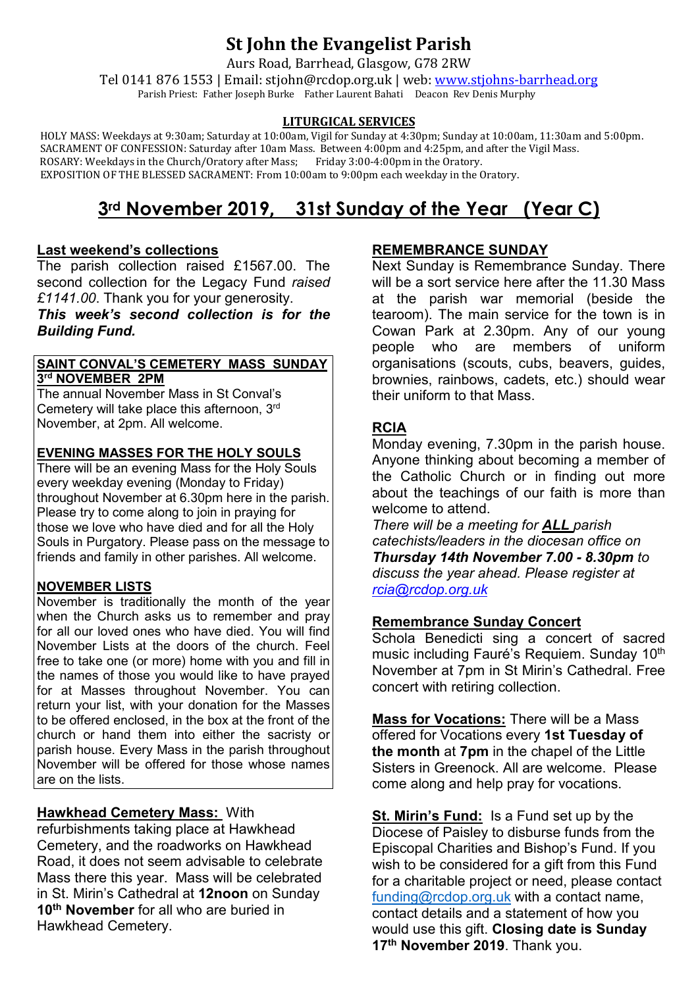# **St John the Evangelist Parish**

Aurs Road, Barrhead, Glasgow, G78 2RW

Tel 0141 876 1553 | Email: stjohn@rcdop.org.uk | web: [www.stjohns-barrhead.org](http://www.stjohns-barrhead.org/) Parish Priest: Father Joseph Burke Father Laurent Bahati Deacon Rev Denis Murphy

#### **LITURGICAL SERVICES**

 HOLY MASS: Weekdays at 9:30am; Saturday at 10:00am, Vigil for Sunday at 4:30pm; Sunday at 10:00am, 11:30am and 5:00pm. SACRAMENT OF CONFESSION: Saturday after 10am Mass. Between 4:00pm and 4:25pm, and after the Vigil Mass. ROSARY: Weekdays in the Church/Oratory after Mass; Friday 3:00-4:00pm in the Oratory. EXPOSITION OF THE BLESSED SACRAMENT: From 10:00am to 9:00pm each weekday in the Oratory.

# **3rd November 2019, 31st Sunday of the Year (Year C)**

### **Last weekend's collections**

The parish collection raised £1567.00. The second collection for the Legacy Fund *raised £1141.00*. Thank you for your generosity.

*This week's second collection is for the Building Fund.*

#### **SAINT CONVAL'S CEMETERY MASS SUNDAY 3rd NOVEMBER 2PM**

The annual November Mass in St Conval's Cemetery will take place this afternoon, 3rd November, at 2pm. All welcome.

### **EVENING MASSES FOR THE HOLY SOULS**

There will be an evening Mass for the Holy Souls every weekday evening (Monday to Friday) throughout November at 6.30pm here in the parish. Please try to come along to join in praying for those we love who have died and for all the Holy Souls in Purgatory. Please pass on the message to friends and family in other parishes. All welcome.

### **NOVEMBER LISTS**

November is traditionally the month of the year when the Church asks us to remember and pray for all our loved ones who have died. You will find November Lists at the doors of the church. Feel free to take one (or more) home with you and fill in the names of those you would like to have prayed for at Masses throughout November. You can return your list, with your donation for the Masses to be offered enclosed, in the box at the front of the church or hand them into either the sacristy or parish house. Every Mass in the parish throughout November will be offered for those whose names are on the lists.

## **Hawkhead Cemetery Mass:** With

refurbishments taking place at Hawkhead Cemetery, and the roadworks on Hawkhead Road, it does not seem advisable to celebrate Mass there this year. Mass will be celebrated in St. Mirin's Cathedral at **12noon** on Sunday **10th November** for all who are buried in Hawkhead Cemetery.

### **REMEMBRANCE SUNDAY**

Next Sunday is Remembrance Sunday. There will be a sort service here after the 11.30 Mass at the parish war memorial (beside the tearoom). The main service for the town is in Cowan Park at 2.30pm. Any of our young people who are members of uniform organisations (scouts, cubs, beavers, guides, brownies, rainbows, cadets, etc.) should wear their uniform to that Mass.

### **RCIA**

Monday evening, 7.30pm in the parish house. Anyone thinking about becoming a member of the Catholic Church or in finding out more about the teachings of our faith is more than welcome to attend.

*There will be a meeting for ALL parish catechists/leaders in the diocesan office on Thursday 14th November 7.00 - 8.30pm to discuss the year ahead. Please register at [rcia@rcdop.org.uk](mailto:rcia@rcdop.org.uk)*

### **Remembrance Sunday Concert**

Schola Benedicti sing a concert of sacred music including Fauré's Requiem. Sunday 10<sup>th</sup> November at 7pm in St Mirin's Cathedral. Free concert with retiring collection.

**Mass for Vocations:** There will be a Mass offered for Vocations every **1st Tuesday of the month** at **7pm** in the chapel of the Little Sisters in Greenock. All are welcome. Please come along and help pray for vocations.

**St. Mirin's Fund:** Is a Fund set up by the Diocese of Paisley to disburse funds from the Episcopal Charities and Bishop's Fund. If you wish to be considered for a gift from this Fund for a charitable project or need, please contact [funding@rcdop.org.uk](mailto:funding@rcdop.org.uk) with a contact name, contact details and a statement of how you would use this gift. **Closing date is Sunday 17th November 2019**. Thank you.